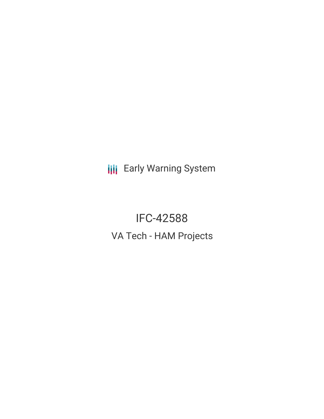**III** Early Warning System

IFC-42588 VA Tech - HAM Projects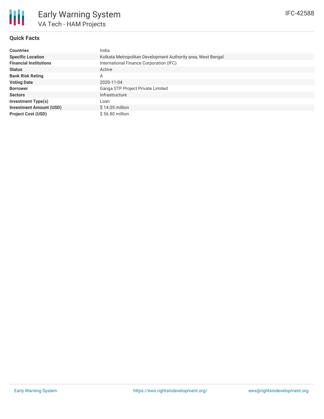

## **Quick Facts**

| <b>Countries</b>               | India                                                        |  |  |  |  |
|--------------------------------|--------------------------------------------------------------|--|--|--|--|
| <b>Specific Location</b>       | Kolkata Metropolitan Development Authority area, West Bengal |  |  |  |  |
| <b>Financial Institutions</b>  | International Finance Corporation (IFC)                      |  |  |  |  |
| <b>Status</b>                  | Active                                                       |  |  |  |  |
| <b>Bank Risk Rating</b>        | A                                                            |  |  |  |  |
| <b>Voting Date</b>             | 2020-11-04                                                   |  |  |  |  |
| <b>Borrower</b>                | Ganga STP Project Private Limited                            |  |  |  |  |
| <b>Sectors</b>                 | Infrastructure                                               |  |  |  |  |
| <b>Investment Type(s)</b>      | Loan                                                         |  |  |  |  |
| <b>Investment Amount (USD)</b> | $$14.05$ million                                             |  |  |  |  |
| <b>Project Cost (USD)</b>      | $$56.80$ million                                             |  |  |  |  |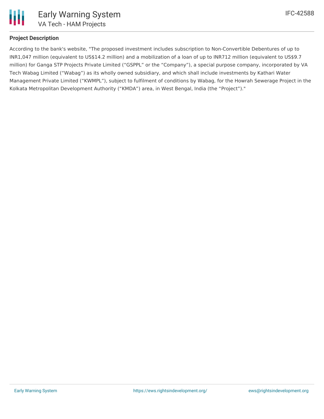

## **Project Description**

According to the bank's website, "The proposed investment includes subscription to Non-Convertible Debentures of up to INR1,047 million (equivalent to US\$14.2 million) and a mobilization of a loan of up to INR712 million (equivalent to US\$9.7 million) for Ganga STP Projects Private Limited ("GSPPL" or the "Company"), a special purpose company, incorporated by VA Tech Wabag Limited ("Wabag") as its wholly owned subsidiary, and which shall include investments by Kathari Water Management Private Limited ("KWMPL"), subject to fulfilment of conditions by Wabag, for the Howrah Sewerage Project in the Kolkata Metropolitan Development Authority ("KMDA") area, in West Bengal, India (the "Project")."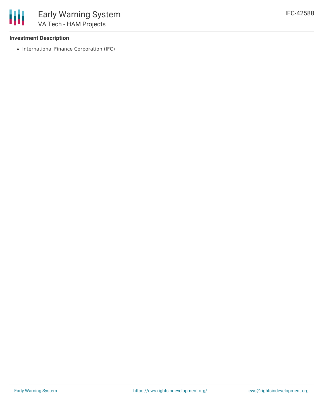### **Investment Description**

• International Finance Corporation (IFC)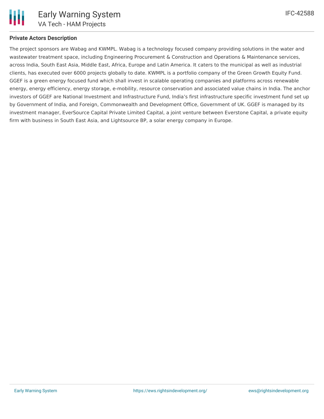

## **Private Actors Description**

The project sponsors are Wabag and KWMPL. Wabag is a technology focused company providing solutions in the water and wastewater treatment space, including Engineering Procurement & Construction and Operations & Maintenance services, across India, South East Asia, Middle East, Africa, Europe and Latin America. It caters to the municipal as well as industrial clients, has executed over 6000 projects globally to date. KWMPL is a portfolio company of the Green Growth Equity Fund. GGEF is a green energy focused fund which shall invest in scalable operating companies and platforms across renewable energy, energy efficiency, energy storage, e-mobility, resource conservation and associated value chains in India. The anchor investors of GGEF are National Investment and Infrastructure Fund, India's first infrastructure specific investment fund set up by Government of India, and Foreign, Commonwealth and Development Office, Government of UK. GGEF is managed by its investment manager, EverSource Capital Private Limited Capital, a joint venture between Everstone Capital, a private equity firm with business in South East Asia, and Lightsource BP, a solar energy company in Europe.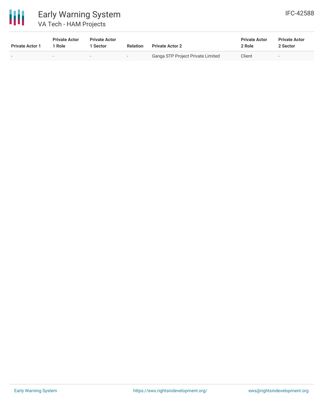

# Early Warning System VA Tech - HAM Projects

| <b>Private Actor 1</b> | <b>Private Actor</b><br>Role | <b>Private Actor</b><br>Sector | <b>Relation</b> | <b>Private Actor 2</b>            | <b>Private Actor</b><br>2 Role | <b>Private Actor</b><br>2 Sector |
|------------------------|------------------------------|--------------------------------|-----------------|-----------------------------------|--------------------------------|----------------------------------|
|                        |                              |                                | $\sim$          | Ganga STP Project Private Limited | Client                         | $\sim$                           |